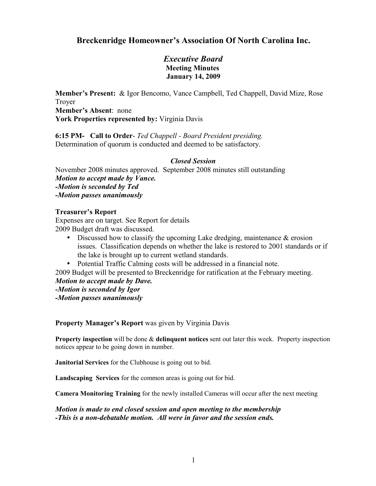## **Breckenridge Homeowner's Association Of North Carolina Inc.**

### *Executive Board* **Meeting Minutes January 14, 2009**

**Member's Present:** & Igor Bencomo, Vance Campbell, Ted Chappell, David Mize, Rose Troyer **Member's Absent**: none **York Properties represented by:** Virginia Davis

**6:15 PM- Call to Order**- *Ted Chappell - Board President presiding.* Determination of quorum is conducted and deemed to be satisfactory.

### *Closed Session*

November 2008 minutes approved. September 2008 minutes still outstanding *Motion to accept made by Vance. -Motion is seconded by Ted -Motion passes unanimously* 

### **Treasurer's Report**

Expenses are on target. See Report for details 2009 Budget draft was discussed.

- Discussed how to classify the upcoming Lake dredging, maintenance & erosion issues. Classification depends on whether the lake is restored to 2001 standards or if the lake is brought up to current wetland standards.
- Potential Traffic Calming costs will be addressed in a financial note.

2009 Budget will be presented to Breckenridge for ratification at the February meeting. *Motion to accept made by Dave.*

- *-Motion is seconded by Igor*
- *-Motion passes unanimously*

**Property Manager's Report** was given by Virginia Davis

**Property inspection** will be done & **delinquent notices** sent out later this week. Property inspection notices appear to be going down in number.

**Janitorial Services** for the Clubhouse is going out to bid.

**Landscaping Services** for the common areas is going out for bid.

**Camera Monitoring Training** for the newly installed Cameras will occur after the next meeting

*Motion is made to end closed session and open meeting to the membership -This is a non-debatable motion. All were in favor and the session ends.*